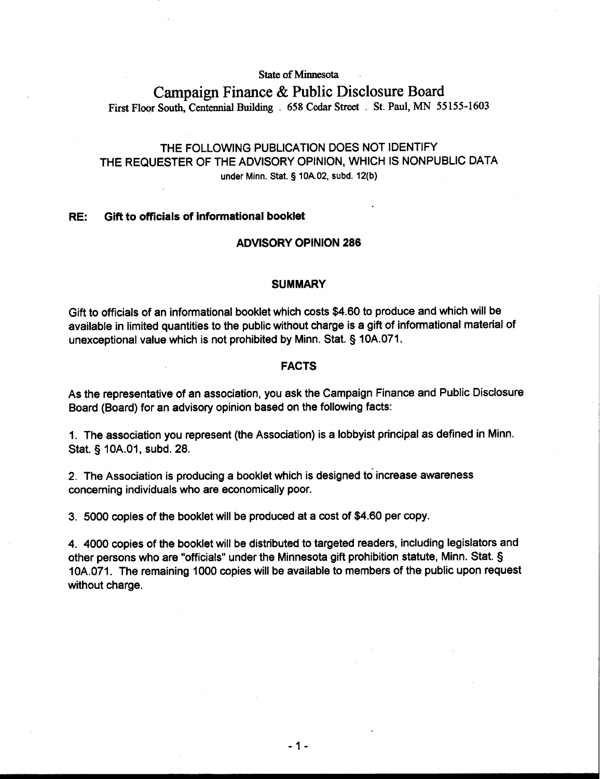**State of Minnesota** 

# **Campaign Finance** & **Public Disclosure Board First Floor South, Centennial Building** . **658 Cedar Street** . **St. Paul, MN 55 155-1603**

## THE FOLLOWING PUBLICATION DOES NOT IDENTIFY THE REQUESTER OF THE ADVISORY OPINION, WHICH IS NONPUBLIC DATA **under Minn.** Stat. § **lOA.02, subd. 12(b)**

#### RE: Gift to officials of informational booklet

### ADVISORY OPINION 286

#### SUMMARY

Gift to officials of an informational booklet which costs \$4.60 to produce and which will be available in limited quantities to the public without charge is a gift of informational material of unexceptional value which is not prohibited by Minn. Stat. § 10A.071.

#### FACTS

As the representative of an association, you ask the Campaign Finance and Public Disclosure Board (Board) for an advisory opinion based on the following facts:

1. The association you represent (the Association) is a lobbyist principal as defined in Minn. Stat. § 10A.01, subd. 28.

2. The Association is producing a booklet which is designed to increase awareness concerning individuals who are economically poor.

3. 5000 copies of the booklet will be produced at a cost of \$4.60 per copy.

4. 4000 copies of the booklet will be distributed to targeted readers, including legislators and other persons who are "officials" under the Minnesota gift prohibition statute, Minn. Stat. § 10A.071. The remaining 1000 copies will be available to members of the public upon request without charge.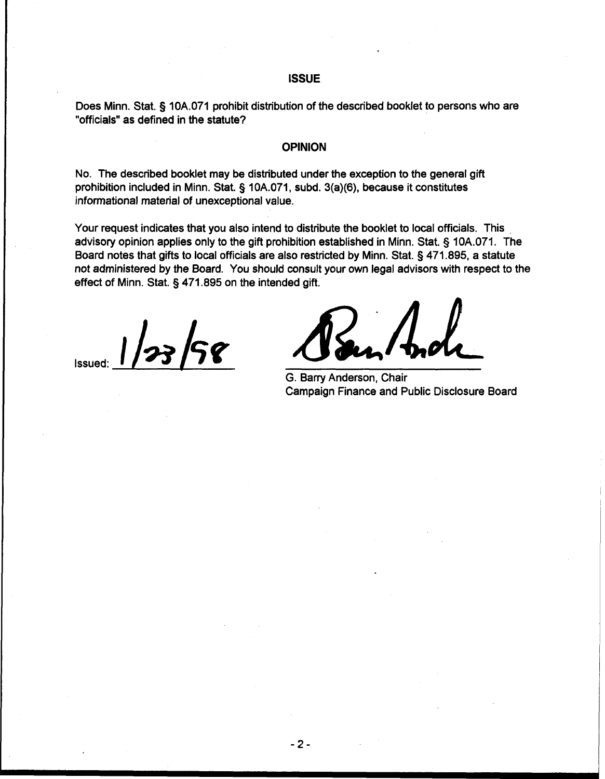#### **ISSUE**

Does Minn. Stat. § 10A.071 prohibit distribution of the described booklet to persons who are "officials" as defined in the statute?

## **OPINION**

No. The described booklet may be distributed under the exception to the general gift prohibition included in Minn. Stat. § 10A.071, subd. 3(a)(6), because it constitutes informational material of unexceptional value.

Your request indicates that you also intend to distribute the booklet to local officials. This advisory opinion applies only to the gift prohibition established in Minn. Stat. § 10A.071. The Board notes that gifts to local officials are also restricted by Minn. Stat. § 471.895, a statute not administered by the Board. You should consult your own legal advisors with respect to the effect of Minn. Stat. § 471.895 on the intended gift.

Issued: **1/23/58 Sensity And Luck**<br>
G. Barry Anderson, Chair

G. Barry Anderson, Chair Campaign Finance and Public Disclosure Board